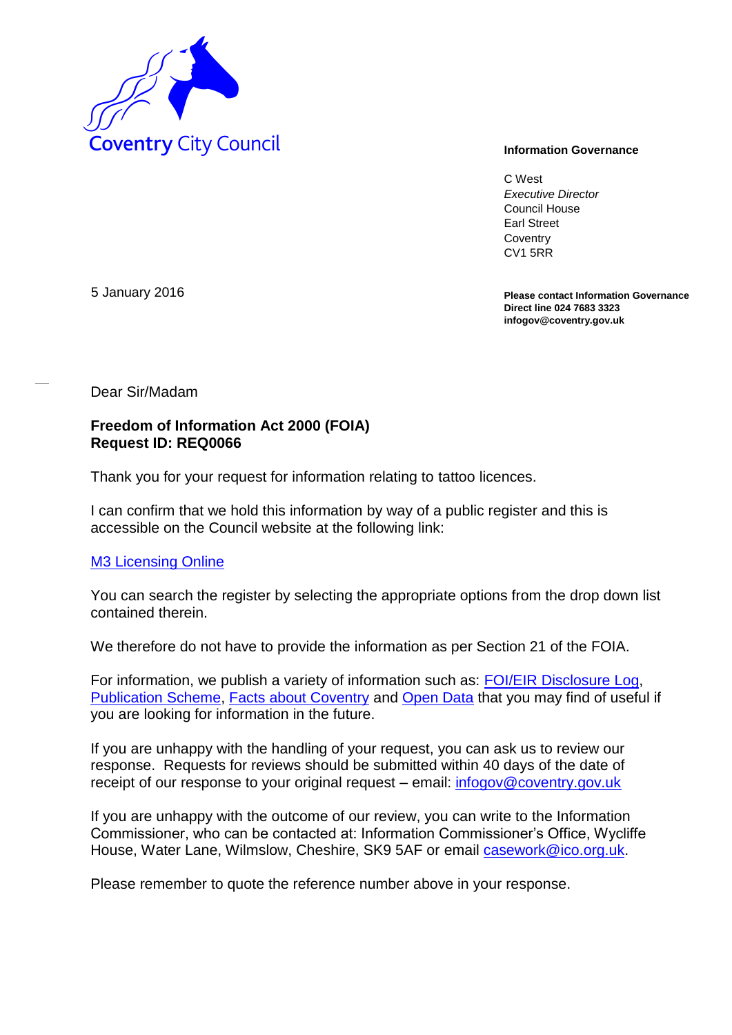

C West *Executive Director* Council House Earl Street **Coventry** CV1 5RR

**Please contact Information Governance Direct line 024 7683 3323 infogov@coventry.gov.uk** 

5 January 2016

Dear Sir/Madam

## **Freedom of Information Act 2000 (FOIA) Request ID: REQ0066**

Thank you for your request for information relating to tattoo licences.

I can confirm that we hold this information by way of a public register and this is accessible on the Council website at the following link:

## [M3 Licensing Online](http://licensing.coventry.gov.uk/MVM/Online/EGov/License_Registers/Registers_Criteria.aspx)

You can search the register by selecting the appropriate options from the drop down list contained therein.

We therefore do not have to provide the information as per Section 21 of the FOIA.

For information, we publish a variety of information such as: [FOI/EIR Disclosure Log,](http://www.coventry.gov.uk/foieirrequests) [Publication Scheme,](http://www.coventry.gov.uk/publicationscheme) [Facts about Coventry](http://www.coventry.gov.uk/factsaboutcoventry) and [Open Data](http://www.coventry.gov.uk/opendata) that you may find of useful if you are looking for information in the future.

If you are unhappy with the handling of your request, you can ask us to review our response. Requests for reviews should be submitted within 40 days of the date of receipt of our response to your original request – email: [infogov@coventry.gov.uk](mailto:infogov@coventry.gov.uk)

If you are unhappy with the outcome of our review, you can write to the Information Commissioner, who can be contacted at: Information Commissioner's Office, Wycliffe House, Water Lane, Wilmslow, Cheshire, SK9 5AF or email *casework@ico.org.uk.* 

Please remember to quote the reference number above in your response.